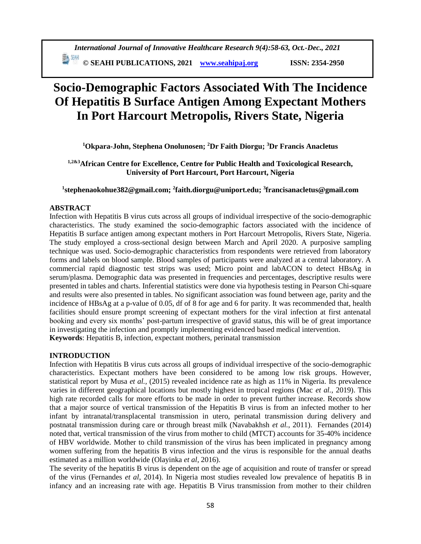# **Socio-Demographic Factors Associated With The Incidence Of Hepatitis B Surface Antigen Among Expectant Mothers In Port Harcourt Metropolis, Rivers State, Nigeria**

**<sup>1</sup>Okpara-John, Stephena Onolunosen; <sup>2</sup>Dr Faith Diorgu; <sup>3</sup>Dr Francis Anacletus**

# **1,2&3African Centre for Excellence, Centre for Public Health and Toxicological Research, University of Port Harcourt, Port Harcourt, Nigeria**

# **1 [stephenaokohue382@gmail.com;](mailto:Stephenaokohue382@gmail.com) <sup>2</sup> [faith.diorgu@uniport.edu;](mailto:Faith.diorgu@uniport.edu) <sup>3</sup> francisanacletus@gmail.com**

# **ABSTRACT**

Infection with Hepatitis B virus cuts across all groups of individual irrespective of the socio-demographic characteristics. The study examined the socio-demographic factors associated with the incidence of Hepatitis B surface antigen among expectant mothers in Port Harcourt Metropolis, Rivers State, Nigeria. The study employed a cross-sectional design between March and April 2020. A purposive sampling technique was used. Socio-demographic characteristics from respondents were retrieved from laboratory forms and labels on blood sample. Blood samples of participants were analyzed at a central laboratory. A commercial rapid diagnostic test strips was used; Micro point and labACON to detect HBsAg in serum/plasma. Demographic data was presented in frequencies and percentages, descriptive results were presented in tables and charts. Inferential statistics were done via hypothesis testing in Pearson Chi-square and results were also presented in tables. No significant association was found between age, parity and the incidence of HBsAg at a p-value of 0.05, df of 8 for age and 6 for parity. It was recommended that, health facilities should ensure prompt screening of expectant mothers for the viral infection at first antenatal booking and every six months' post-partum irrespective of gravid status, this will be of great importance in investigating the infection and promptly implementing evidenced based medical intervention. **Keywords**: Hepatitis B, infection, expectant mothers, perinatal transmission

# **INTRODUCTION**

Infection with Hepatitis B virus cuts across all groups of individual irrespective of the socio-demographic characteristics. Expectant mothers have been considered to be among low risk groups. However, statistical report by Musa *et al.,* (2015) revealed incidence rate as high as 11% in Nigeria. Its prevalence varies in different geographical locations but mostly highest in tropical regions (Mac *et al.*, 2019). This high rate recorded calls for more efforts to be made in order to prevent further increase. Records show that a major source of vertical transmission of the Hepatitis B virus is from an infected mother to her infant by intranatal/transplacental transmission in utero, perinatal transmission during delivery and postnatal transmission during care or through breast milk (Navabakhsh *et al.*, 2011). Fernandes (2014) noted that, vertical transmission of the virus from mother to child (MTCT) accounts for 35-40% incidence of HBV worldwide. Mother to child transmission of the virus has been implicated in pregnancy among women suffering from the hepatitis B virus infection and the virus is responsible for the annual deaths estimated as a million worldwide (Olayinka *et al*, 2016).

The severity of the hepatitis B virus is dependent on the age of acquisition and route of transfer or spread of the virus (Fernandes *et al*, 2014). In Nigeria most studies revealed low prevalence of hepatitis B in infancy and an increasing rate with age. Hepatitis B Virus transmission from mother to their children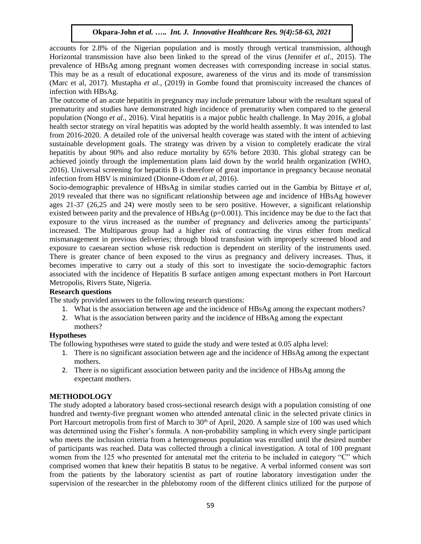accounts for 2.8% of the Nigerian population and is mostly through vertical transmission, although Horizontal transmission have also been linked to the spread of the virus (Jennifer *et al.,* 2015). The prevalence of HBsAg among pregnant women decreases with corresponding increase in social status. This may be as a result of educational exposure, awareness of the virus and its mode of transmission (Marc et al, 2017). Mustapha *et al.*, (2019) in Gombe found that promiscuity increased the chances of infection with HBsAg.

The outcome of an acute hepatitis in pregnancy may include premature labour with the resultant squeal of prematurity and studies have demonstrated high incidence of prematurity when compared to the general population (Nongo *et al.*, 2016). Viral hepatitis is a major public health challenge. In May 2016, a global health sector strategy on viral hepatitis was adopted by the world health assembly. It was intended to last from 2016-2020. A detailed role of the universal health coverage was stated with the intent of achieving sustainable development goals. The strategy was driven by a vision to completely eradicate the viral hepatitis by about 90% and also reduce mortality by 65% before 2030. This global strategy can be achieved jointly through the implementation plans laid down by the world health organization (WHO, 2016). Universal screening for hepatitis B is therefore of great importance in pregnancy because neonatal infection from HBV is minimized (Dionne-Odom *et al*, 2016).

Socio-demographic prevalence of HBsAg in similar studies carried out in the Gambia by Bittaye *et al*, 2019 revealed that there was no significant relationship between age and incidence of HBsAg however ages 21-37 (26,25 and 24) were mostly seen to be sero positive. However, a significant relationship existed between parity and the prevalence of HBsAg ( $p=0.001$ ). This incidence may be due to the fact that exposure to the virus increased as the number of pregnancy and deliveries among the participants' increased. The Multiparous group had a higher risk of contracting the virus either from medical mismanagement in previous deliveries; through blood transfusion with improperly screened blood and exposure to caesarean section whose risk reduction is dependent on sterility of the instruments used. There is greater chance of been exposed to the virus as pregnancy and delivery increases. Thus, it becomes imperative to carry out a study of this sort to investigate the socio-demographic factors associated with the incidence of Hepatitis B surface antigen among expectant mothers in Port Harcourt Metropolis, Rivers State, Nigeria.

# **Research questions**

The study provided answers to the following research questions:

- 1. What is the association between age and the incidence of HBsAg among the expectant mothers?
- 2. What is the association between parity and the incidence of HBsAg among the expectant mothers?

# **Hypotheses**

The following hypotheses were stated to guide the study and were tested at 0.05 alpha level:

- 1. There is no significant association between age and the incidence of HBsAg among the expectant mothers.
- 2. There is no significant association between parity and the incidence of HBsAg among the expectant mothers.

# **METHODOLOGY**

The study adopted a laboratory based cross-sectional research design with a population consisting of one hundred and twenty-five pregnant women who attended antenatal clinic in the selected private clinics in Port Harcourt metropolis from first of March to 30<sup>th</sup> of April, 2020. A sample size of 100 was used which was determined using the Fisher's formula. A non-probability sampling in which every single participant who meets the inclusion criteria from a heterogeneous population was enrolled until the desired number of participants was reached. Data was collected through a clinical investigation. A total of 100 pregnant women from the 125 who presented for antenatal met the criteria to be included in category "C" which comprised women that knew their hepatitis B status to be negative. A verbal informed consent was sort from the patients by the laboratory scientist as part of routine laboratory investigation under the supervision of the researcher in the phlebotomy room of the different clinics utilized for the purpose of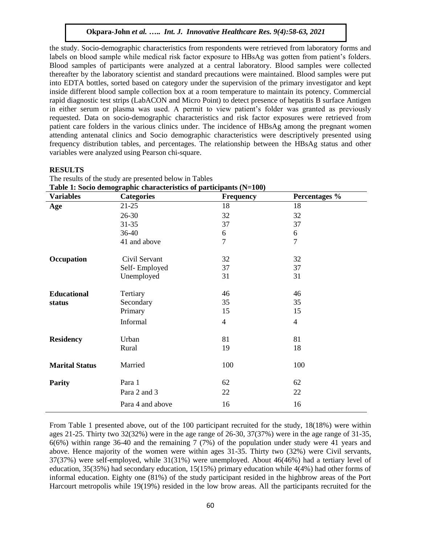the study. Socio-demographic characteristics from respondents were retrieved from laboratory forms and labels on blood sample while medical risk factor exposure to HBsAg was gotten from patient's folders. Blood samples of participants were analyzed at a central laboratory. Blood samples were collected thereafter by the laboratory scientist and standard precautions were maintained. Blood samples were put into EDTA bottles, sorted based on category under the supervision of the primary investigator and kept inside different blood sample collection box at a room temperature to maintain its potency. Commercial rapid diagnostic test strips (LabACON and Micro Point) to detect presence of hepatitis B surface Antigen in either serum or plasma was used. A permit to view patient's folder was granted as previously requested. Data on socio-demographic characteristics and risk factor exposures were retrieved from patient care folders in the various clinics under. The incidence of HBsAg among the pregnant women attending antenatal clinics and Socio demographic characteristics were descriptively presented using frequency distribution tables, and percentages. The relationship between the HBsAg status and other variables were analyzed using Pearson chi-square.

#### **RESULTS**

| Table 1: Socio demographic characteristics of participants (N=100) |                   |                  |                |  |  |  |
|--------------------------------------------------------------------|-------------------|------------------|----------------|--|--|--|
| <b>Variables</b>                                                   | <b>Categories</b> | <b>Frequency</b> | Percentages %  |  |  |  |
| Age                                                                | $21-25$           | 18               | 18             |  |  |  |
|                                                                    | $26 - 30$         | 32               | 32             |  |  |  |
|                                                                    | $31 - 35$         | 37               | 37             |  |  |  |
|                                                                    | 36-40             | 6                | 6              |  |  |  |
|                                                                    | 41 and above      | 7                | $\overline{7}$ |  |  |  |
| Occupation                                                         | Civil Servant     | 32               | 32             |  |  |  |
|                                                                    | Self-Employed     | 37               | 37             |  |  |  |
|                                                                    | Unemployed        | 31               | 31             |  |  |  |
| <b>Educational</b>                                                 | Tertiary          | 46               | 46             |  |  |  |
| status                                                             | Secondary         | 35               | 35             |  |  |  |
|                                                                    | Primary           | 15               | 15             |  |  |  |
|                                                                    | Informal          | $\overline{4}$   | $\overline{4}$ |  |  |  |
| <b>Residency</b>                                                   | Urban             | 81               | 81             |  |  |  |
|                                                                    | Rural             | 19               | 18             |  |  |  |
| <b>Marital Status</b>                                              | Married           | 100              | 100            |  |  |  |
| <b>Parity</b>                                                      | Para 1            | 62               | 62             |  |  |  |
|                                                                    | Para 2 and 3      | 22               | 22             |  |  |  |
|                                                                    | Para 4 and above  | 16               | 16             |  |  |  |

The results of the study are presented below in Tables

From Table 1 presented above, out of the 100 participant recruited for the study, 18(18%) were within ages 21-25. Thirty two 32(32%) were in the age range of 26-30, 37(37%) were in the age range of 31-35, 6(6%) within range 36-40 and the remaining 7 (7%) of the population under study were 41 years and above. Hence majority of the women were within ages 31-35. Thirty two (32%) were Civil servants, 37(37%) were self-employed, while 31(31%) were unemployed. About 46(46%) had a tertiary level of education, 35(35%) had secondary education, 15(15%) primary education while 4(4%) had other forms of informal education. Eighty one (81%) of the study participant resided in the highbrow areas of the Port Harcourt metropolis while 19(19%) resided in the low brow areas. All the participants recruited for the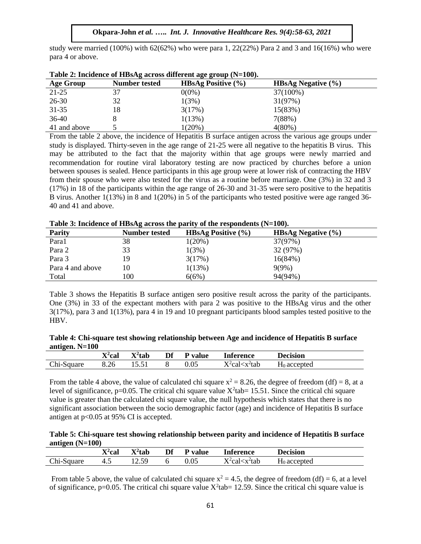study were married  $(100%)$  with 62(62%) who were para 1, 22(22%) Para 2 and 3 and 16(16%) who were para 4 or above.

|                  | $\sim$ while $\sim$ and $\sim$ and $\sim$ and $\sim$ and $\sim$ and $\sim$ and $\sim$ and $\sim$ | $m = 0$ and $m = 1$ and $m = 0$ |                               |  |
|------------------|--------------------------------------------------------------------------------------------------|---------------------------------|-------------------------------|--|
| <b>Age Group</b> | Number tested                                                                                    | <b>HBsAg Positive</b> $(\% )$   | <b>HBsAg Negative</b> $(\% )$ |  |
| 21-25            | 37                                                                                               | $0(0\%)$                        | 37(100%)                      |  |
| $26 - 30$        | 32                                                                                               | 1(3%)                           | 31(97%)                       |  |
| $31 - 35$        | 18                                                                                               | 3(17%)                          | 15(83%)                       |  |
| $36-40$          |                                                                                                  | 1(13%)                          | 7(88%)                        |  |
| 41 and above     |                                                                                                  | $1(20\%)$                       | $4(80\%)$                     |  |
|                  |                                                                                                  |                                 |                               |  |

|  | Table 2: Incidence of HBsAg across different age group (N=100). |  |
|--|-----------------------------------------------------------------|--|
|  |                                                                 |  |

From the table 2 above, the incidence of Hepatitis B surface antigen across the various age groups under study is displayed. Thirty-seven in the age range of 21-25 were all negative to the hepatitis B virus. This may be attributed to the fact that the majority within that age groups were newly married and recommendation for routine viral laboratory testing are now practiced by churches before a union between spouses is sealed. Hence participants in this age group were at lower risk of contracting the HBV from their spouse who were also tested for the virus as a routine before marriage. One (3%) in 32 and 3 (17%) in 18 of the participants within the age range of 26-30 and 31-35 were sero positive to the hepatitis B virus. Another 1(13%) in 8 and 1(20%) in 5 of the participants who tested positive were age ranged 36- 40 and 41 and above.

| Table 5: Including of HD3/14 across the partly of the respondents (11-100). |                      |                               |                               |  |  |
|-----------------------------------------------------------------------------|----------------------|-------------------------------|-------------------------------|--|--|
| <b>Parity</b>                                                               | <b>Number tested</b> | <b>HBsAg Positive</b> $(\% )$ | <b>HBsAg Negative</b> $(\% )$ |  |  |
| Para1                                                                       | 38                   | $1(20\%)$                     | 37(97%)                       |  |  |
| Para 2                                                                      | 33                   | 1(3%)                         | 32 (97%)                      |  |  |
| Para 3                                                                      | 19                   | 3(17%)                        | 16(84%)                       |  |  |
| Para 4 and above                                                            | 10                   | 1(13%)                        | $9(9\%)$                      |  |  |
| Total                                                                       | 100                  | 6(6%)                         | 94(94%)                       |  |  |

**Table 3: Incidence of HBsAg across the parity of the respondents (N=100).**

Table 3 shows the Hepatitis B surface antigen sero positive result across the parity of the participants. One (3%) in 33 of the expectant mothers with para 2 was positive to the HBsAg virus and the other 3(17%), para 3 and 1(13%), para 4 in 19 and 10 pregnant participants blood samples tested positive to the HBV.

|                  | Table 4: Chi-square test showing relationship between Age and incidence of Hepatitis B surface |
|------------------|------------------------------------------------------------------------------------------------|
| antigen. $N=100$ |                                                                                                |

|            | $x^2$ cal | $X^2$ tab        | Df | <b>P</b> value | <b>Inference</b>        | <b>Decision</b> |
|------------|-----------|------------------|----|----------------|-------------------------|-----------------|
| Chi-Square | 8.26      | 1551<br>1 J .J 1 | Õ  | $0.05\,$       | $X^2$ cal $\lt x^2$ tab | $H_0$ accepted  |

From the table 4 above, the value of calculated chi square  $x^2 = 8.26$ , the degree of freedom (df) = 8, at a level of significance,  $p=0.05$ . The critical chi square value  $X^2$ tab = 15.51. Since the critical chi square value is greater than the calculated chi square value, the null hypothesis which states that there is no significant association between the socio demographic factor (age) and incidence of Hepatitis B surface antigen at p<0.05 at 95% CI is accepted.

**Table 5: Chi-square test showing relationship between parity and incidence of Hepatitis B surface antigen (N=100)**

|                  | $\mathbf{r}$<br>` <sup>4</sup> cal<br>∡ъ | $\mathbf{v}$<br>` <sup>4</sup> tab<br>Δ | Df | value | Inference                                                                      | <b>Decision</b>      |
|------------------|------------------------------------------|-----------------------------------------|----|-------|--------------------------------------------------------------------------------|----------------------|
| Chi-;<br>-Square | т.                                       | 50<br>$\sim$<br>14.J <i>j</i>           |    | 0.05  | $V^2$ calz<br><x-tab< td=""><td>--<br/><math>H_0</math> accepted</td></x-tab<> | --<br>$H_0$ accepted |

From table 5 above, the value of calculated chi square  $x^2 = 4.5$ , the degree of freedom (df) = 6, at a level of significance, p=0.05. The critical chi square value  $X^2$ tab= 12.59. Since the critical chi square value is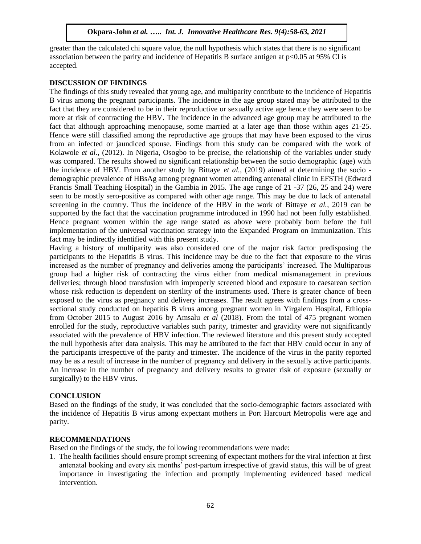greater than the calculated chi square value, the null hypothesis which states that there is no significant association between the parity and incidence of Hepatitis B surface antigen at p<0.05 at 95% CI is accepted.

#### **DISCUSSION OF FINDINGS**

The findings of this study revealed that young age, and multiparity contribute to the incidence of Hepatitis B virus among the pregnant participants. The incidence in the age group stated may be attributed to the fact that they are considered to be in their reproductive or sexually active age hence they were seen to be more at risk of contracting the HBV. The incidence in the advanced age group may be attributed to the fact that although approaching menopause, some married at a later age than those within ages 21-25. Hence were still classified among the reproductive age groups that may have been exposed to the virus from an infected or jaundiced spouse. Findings from this study can be compared with the work of Kolawole *et al.*, (2012). In Nigeria, Osogbo to be precise, the relationship of the variables under study was compared. The results showed no significant relationship between the socio demographic (age) with the incidence of HBV. From another study by Bittaye *et al.,* (2019) aimed at determining the socio demographic prevalence of HBsAg among pregnant women attending antenatal clinic in EFSTH (Edward Francis Small Teaching Hospital) in the Gambia in 2015. The age range of 21 -37 (26, 25 and 24) were seen to be mostly sero-positive as compared with other age range. This may be due to lack of antenatal screening in the country. Thus the incidence of the HBV in the work of Bittaye *et al.*, 2019 can be supported by the fact that the vaccination programme introduced in 1990 had not been fully established. Hence pregnant women within the age range stated as above were probably born before the full implementation of the universal vaccination strategy into the Expanded Program on Immunization. This fact may be indirectly identified with this present study.

Having a history of multiparity was also considered one of the major risk factor predisposing the participants to the Hepatitis B virus. This incidence may be due to the fact that exposure to the virus increased as the number of pregnancy and deliveries among the participants' increased. The Multiparous group had a higher risk of contracting the virus either from medical mismanagement in previous deliveries; through blood transfusion with improperly screened blood and exposure to caesarean section whose risk reduction is dependent on sterility of the instruments used. There is greater chance of been exposed to the virus as pregnancy and delivery increases. The result agrees with findings from a crosssectional study conducted on hepatitis B virus among pregnant women in Yirgalem Hospital, Ethiopia from October 2015 to August 2016 by Amsalu *et al* (2018). From the total of 475 pregnant women enrolled for the study, reproductive variables such parity, trimester and gravidity were not significantly associated with the prevalence of HBV infection. The reviewed literature and this present study accepted the null hypothesis after data analysis. This may be attributed to the fact that HBV could occur in any of the participants irrespective of the parity and trimester. The incidence of the virus in the parity reported may be as a result of increase in the number of pregnancy and delivery in the sexually active participants. An increase in the number of pregnancy and delivery results to greater risk of exposure (sexually or surgically) to the HBV virus.

# **CONCLUSION**

Based on the findings of the study, it was concluded that the socio-demographic factors associated with the incidence of Hepatitis B virus among expectant mothers in Port Harcourt Metropolis were age and parity.

#### **RECOMMENDATIONS**

Based on the findings of the study, the following recommendations were made:

1. The health facilities should ensure prompt screening of expectant mothers for the viral infection at first antenatal booking and every six months' post-partum irrespective of gravid status, this will be of great importance in investigating the infection and promptly implementing evidenced based medical intervention.